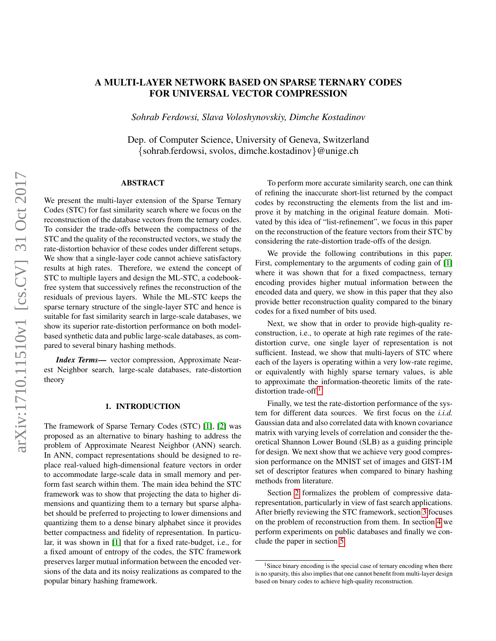# A MULTI-LAYER NETWORK BASED ON SPARSE TERNARY CODES FOR UNIVERSAL VECTOR COMPRESSION

*Sohrab Ferdowsi, Slava Voloshynovskiy, Dimche Kostadinov*

Dep. of Computer Science, University of Geneva, Switzerland {sohrab.ferdowsi, svolos, dimche.kostadinov}@unige.ch

# ABSTRACT

We present the multi-layer extension of the Sparse Ternary Codes (STC) for fast similarity search where we focus on the reconstruction of the database vectors from the ternary codes. To consider the trade-offs between the compactness of the STC and the quality of the reconstructed vectors, we study the rate-distortion behavior of these codes under different setups. We show that a single-layer code cannot achieve satisfactory results at high rates. Therefore, we extend the concept of STC to multiple layers and design the ML-STC, a codebookfree system that successively refines the reconstruction of the residuals of previous layers. While the ML-STC keeps the sparse ternary structure of the single-layer STC and hence is suitable for fast similarity search in large-scale databases, we show its superior rate-distortion performance on both modelbased synthetic data and public large-scale databases, as compared to several binary hashing methods.

*Index Terms*— vector compression, Approximate Nearest Neighbor search, large-scale databases, rate-distortion theory

# 1. INTRODUCTION

The framework of Sparse Ternary Codes (STC) [\[1\]](#page-4-0), [\[2\]](#page-4-1) was proposed as an alternative to binary hashing to address the problem of Approximate Nearest Neighbor (ANN) search. In ANN, compact representations should be designed to replace real-valued high-dimensional feature vectors in order to accommodate large-scale data in small memory and perform fast search within them. The main idea behind the STC framework was to show that projecting the data to higher dimensions and quantizing them to a ternary but sparse alphabet should be preferred to projecting to lower dimensions and quantizing them to a dense binary alphabet since it provides better compactness and fidelity of representation. In particular, it was shown in [\[1\]](#page-4-0) that for a fixed rate-budget, i.e., for a fixed amount of entropy of the codes, the STC framework preserves larger mutual information between the encoded versions of the data and its noisy realizations as compared to the popular binary hashing framework.

To perform more accurate similarity search, one can think of refining the inaccurate short-list returned by the compact codes by reconstructing the elements from the list and improve it by matching in the original feature domain. Motivated by this idea of "list-refinement", we focus in this paper on the reconstruction of the feature vectors from their STC by considering the rate-distortion trade-offs of the design.

We provide the following contributions in this paper. First, complementary to the arguments of coding gain of [\[1\]](#page-4-0) where it was shown that for a fixed compactness, ternary encoding provides higher mutual information between the encoded data and query, we show in this paper that they also provide better reconstruction quality compared to the binary codes for a fixed number of bits used.

Next, we show that in order to provide high-quality reconstruction, i.e., to operate at high rate regimes of the ratedistortion curve, one single layer of representation is not sufficient. Instead, we show that multi-layers of STC where each of the layers is operating within a very low-rate regime, or equivalently with highly sparse ternary values, is able to approximate the information-theoretic limits of the rate-distortion trade-off.<sup>[1](#page-0-0)</sup>

Finally, we test the rate-distortion performance of the system for different data sources. We first focus on the *i.i.d.* Gaussian data and also correlated data with known covariance matrix with varying levels of correlation and consider the theoretical Shannon Lower Bound (SLB) as a guiding principle for design. We next show that we achieve very good compression performance on the MNIST set of images and GIST-1M set of descriptor features when compared to binary hashing methods from literature.

Section [2](#page-1-0) formalizes the problem of compressive datarepresentation, particularly in view of fast search applications. After briefly reviewing the STC framework, section [3](#page-1-1) focuses on the problem of reconstruction from them. In section [4](#page-3-0) we perform experiments on public databases and finally we conclude the paper in section [5.](#page-3-1)

<span id="page-0-0"></span> $<sup>1</sup>$  Since binary encoding is the special case of ternary encoding when there</sup> is no sparsity, this also implies that one cannot benefit from multi-layer design based on binary codes to achieve high-quality reconstruction.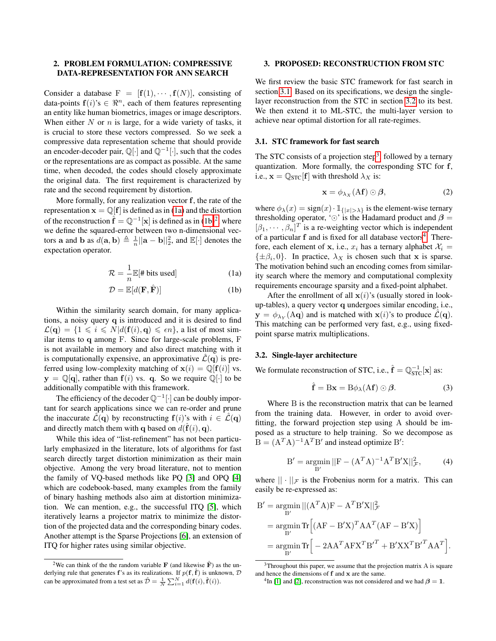# <span id="page-1-0"></span>2. PROBLEM FORMULATION: COMPRESSIVE DATA-REPRESENTATION FOR ANN SEARCH

Consider a database  $F = [f(1), \cdots, f(N)]$ , consisting of data-points  $f(i)$ 's  $\in \mathbb{R}^n$ , each of them features representing an entity like human biometrics, images or image descriptors. When either  $N$  or  $n$  is large, for a wide variety of tasks, it is crucial to store these vectors compressed. So we seek a compressive data representation scheme that should provide an encoder-decoder pair,  $\mathbb{Q}[\cdot]$  and  $\mathbb{Q}^{-1}[\cdot]$ , such that the codes or the representations are as compact as possible. At the same time, when decoded, the codes should closely approximate the original data. The first requirement is characterized by rate and the second requirement by distortion.

More formally, for any realization vector f, the rate of the representation  $\mathbf{x} = \mathbb{Q}[\mathbf{f}]$  is defined as in [\(1a\)](#page-1-2) and the distortion of the reconstruction  $\hat{\mathbf{f}} = \mathbb{Q}^{-1}[\mathbf{x}]$  is defined as in  $(1b)^2$  $(1b)^2$  $(1b)^2$ , where we define the squared-error between two n-dimensional vectors **a** and **b** as  $d(\mathbf{a}, \mathbf{b}) \triangleq \frac{1}{n} ||\mathbf{a} - \mathbf{b}||_2^2$ , and  $\mathbb{E}[\cdot]$  denotes the expectation operator.

$$
\mathcal{R} = \frac{1}{n} \mathbb{E}[\# \text{ bits used}] \tag{1a}
$$

$$
\mathcal{D} = \mathbb{E}[d(\mathbf{F}, \hat{\mathbf{F}})] \tag{1b}
$$

Within the similarity search domain, for many applications, a noisy query q is introduced and it is desired to find  $\mathcal{L}(\mathbf{q}) = \{1 \leq i \leq N | d(\mathbf{f}(i), \mathbf{q}) \leq \epsilon n\}$ , a list of most similar items to q among F. Since for large-scale problems, F is not available in memory and also direct matching with it is computationally expensive, an approximative  $\mathcal{L}(\mathbf{q})$  is preferred using low-complexity matching of  $\mathbf{x}(i) = \mathbb{Q}[\mathbf{f}(i)]$  vs.  $y = \mathbb{Q}[q]$ , rather than  $f(i)$  vs. q. So we require  $\mathbb{Q}[\cdot]$  to be additionally compatible with this framework.

The efficiency of the decoder  $\mathbb{Q}^{-1}[\cdot]$  can be doubly important for search applications since we can re-order and prune the inaccurate  $\mathcal{L}(\mathbf{q})$  by reconstructing  $f(i)$ 's with  $i \in \mathcal{L}(\mathbf{q})$ and directly match them with **q** based on  $d(\hat{\mathbf{f}}(i), \mathbf{q})$ .

While this idea of "list-refinement" has not been particularly emphasized in the literature, lots of algorithms for fast search directly target distortion minimization as their main objective. Among the very broad literature, not to mention the family of VQ-based methods like PQ [\[3\]](#page-4-2) and OPQ [\[4\]](#page-4-3) which are codebook-based, many examples from the family of binary hashing methods also aim at distortion minimization. We can mention, e.g., the successful ITQ [\[5\]](#page-4-4), which iteratively learns a projector matrix to minimize the distortion of the projected data and the corresponding binary codes. Another attempt is the Sparse Projections [\[6\]](#page-4-5), an extension of ITQ for higher rates using similar objective.

## <span id="page-1-1"></span>3. PROPOSED: RECONSTRUCTION FROM STC

We first review the basic STC framework for fast search in section [3.1.](#page-1-5) Based on its specifications, we design the singlelayer reconstruction from the STC in section [3.2](#page-1-6) to its best. We then extend it to ML-STC, the multi-layer version to achieve near optimal distortion for all rate-regimes.

#### <span id="page-1-5"></span>3.1. STC framework for fast search

The STC consists of a projection step<sup>[3](#page-1-7)</sup>, followed by a ternary quantization. More formally, the corresponding STC for f, i.e.,  $\mathbf{x} = \mathbb{Q}_{STC}[\mathbf{f}]$  with threshold  $\lambda_X$  is:

<span id="page-1-9"></span>
$$
\mathbf{x} = \phi_{\lambda_X}(\mathbf{A}\mathbf{f}) \odot \boldsymbol{\beta},\tag{2}
$$

where  $\phi_{\lambda}(x) = \text{sign}(x) \cdot \mathbb{1}_{\{|x| > \lambda\}}$  is the element-wise ternary thresholding operator, ' $\odot$ ' is the Hadamard product and  $\beta =$  $[\beta_1, \cdots, \beta_n]^T$  is a re-weighting vector which is independent of a particular  $f$  and is fixed for all database vectors<sup>[4](#page-1-8)</sup>. Therefore, each element of x, i.e.,  $x_i$  has a ternary alphabet  $\mathcal{X}_i =$  $\{\pm \beta_i, 0\}$ . In practice,  $\lambda_X$  is chosen such that x is sparse. The motivation behind such an encoding comes from similarity search where the memory and computational complexity requirements encourage sparsity and a fixed-point alphabet.

<span id="page-1-3"></span><span id="page-1-2"></span>After the enrollment of all  $\mathbf{x}(i)$ 's (usually stored in lookup-tables), a query vector q undergoes similar encoding, i.e.,  $y = \phi_{\lambda_Y}(Aq)$  and is matched with  $x(i)$ 's to produce  $\mathcal{L}(q)$ . This matching can be performed very fast, e.g., using fixedpoint sparse matrix multiplications.

#### <span id="page-1-6"></span>3.2. Single-layer architecture

We formulate reconstruction of STC, i.e.,  $\hat{\mathbf{f}} = \mathbb{Q}_{STC}^{-1}[\mathbf{x}]$  as:

<span id="page-1-10"></span>
$$
\hat{\mathbf{f}} = \mathbf{B}\mathbf{x} = \mathbf{B}\phi_{\lambda}(\mathbf{A}\mathbf{f}) \odot \boldsymbol{\beta}.
$$
 (3)

Where B is the reconstruction matrix that can be learned from the training data. However, in order to avoid overfitting, the forward projection step using A should be imposed as a structure to help training. So we decompose as  $B = (A^T A)^{-1} A^T B'$  and instead optimize B':

$$
B' = \underset{B'}{\text{argmin}} ||F - (A^T A)^{-1} A^T B' X ||_{\mathcal{F}}^2, \tag{4}
$$

where  $|| \cdot ||_{\mathcal{F}}$  is the Frobenius norm for a matrix. This can easily be re-expressed as:

$$
B' = \underset{B'}{\operatorname{argmin}} ||(A^T A)F - A^T B'X||^2_{\mathcal{F}}
$$
  
= 
$$
\underset{B'}{\operatorname{argmin}} Tr \Big[ (AF - B'X)^T AA^T (AF - B'X) \Big]
$$
  
= 
$$
\underset{B'}{\operatorname{argmin}} Tr \Big[ -2AA^T AFX^T B'^T + B'XX^T B'^T AA^T \Big].
$$

<span id="page-1-4"></span><sup>&</sup>lt;sup>2</sup>We can think of the the random variable **F** (and likewise  $\hat{F}$ ) as the underlying rule that generates f's as its realizations. If  $p(f, \hat{f})$  is unknown,  $D$ can be approximated from a test set as  $\hat{\mathcal{D}} = \frac{1}{N} \sum_{i=1}^{N} d(\mathbf{f}(i), \hat{\mathbf{f}}(i)).$ 

<span id="page-1-7"></span> $3$ Throughout this paper, we assume that the projection matrix A is square and hence the dimensions of  $f$  and  $x$  are the same.

<span id="page-1-8"></span><sup>&</sup>lt;sup>4</sup>In [\[1\]](#page-4-0) and [\[2\]](#page-4-1), reconstruction was not considered and we had  $\beta = 1$ .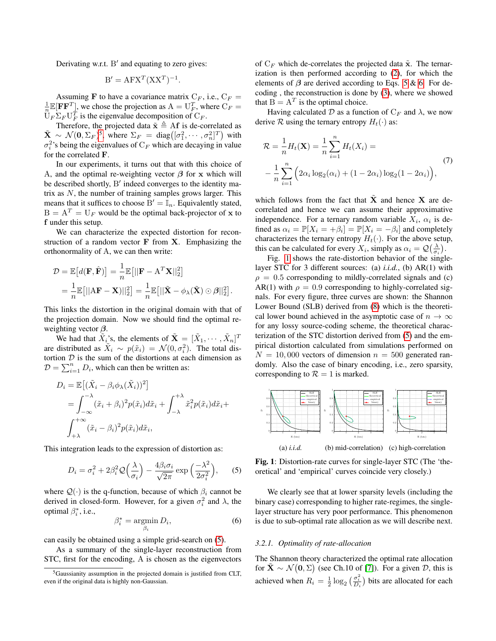Derivating w.r.t.  $B'$  and equating to zero gives:

$$
\mathbf{B}' = \mathbf{A} \mathbf{F} \mathbf{X}^T (\mathbf{X} \mathbf{X}^T)^{-1}.
$$

Assuming F to have a covariance matrix  $C_F$ , i.e.,  $C_F$  =  $\frac{1}{n} \mathbb{E}[\mathbf{F}\mathbf{F}^T]$ , we chose the projection as  $A = U_F^T$ , where  $C_F =$  $\overline{U}_F \Sigma_F U_F^T$  is the eigenvalue decomposition of  $C_F$ .

Therefore, the projected data  $\tilde{\mathbf{x}} \triangleq \mathbf{A} \mathbf{f}$  is de-correlated as  $\tilde{\mathbf{X}} \sim \mathcal{N}(\mathbf{0}, \Sigma_F)^5$  $\tilde{\mathbf{X}} \sim \mathcal{N}(\mathbf{0}, \Sigma_F)^5$ , where  $\Sigma_F = \text{diag}([\sigma_1^2, \cdots, \sigma_n^2]^T)$  with  $\sigma_i^2$ 's being the eigenvalues of  $C_F$  which are decaying in value for the correlated F.

In our experiments, it turns out that with this choice of A, and the optimal re-weighting vector  $\beta$  for x which will be described shortly, B' indeed converges to the identity matrix as  $N$ , the number of training samples grows larger. This means that it suffices to choose  $B' = \mathbb{I}_n$ . Equivalently stated,  $B = A<sup>T</sup> = U<sub>F</sub>$  would be the optimal back-projector of x to f under this setup.

We can characterize the expected distortion for reconstruction of a random vector  $\bf{F}$  from  $\bf{X}$ . Emphasizing the orthonormality of A, we can then write:

$$
\mathcal{D} = \mathbb{E}\left[d(\mathbf{F}, \hat{\mathbf{F}})\right] = \frac{1}{n} \mathbb{E}\left[||\mathbf{F} - \mathbf{A}^T \mathbf{X}||_2^2\right]
$$
  
=  $\frac{1}{n} \mathbb{E}\left[||\mathbf{A}\mathbf{F} - \mathbf{X}||_2^2\right] = \frac{1}{n} \mathbb{E}\left[||\tilde{\mathbf{X}} - \phi_\lambda(\tilde{\mathbf{X}})\odot\beta||_2^2\right].$ 

This links the distortion in the original domain with that of the projection domain. Now we should find the optimal reweighting vector  $\beta$ .

We had that  $\tilde{X}_i$ 's, the elements of  $\tilde{\mathbf{X}} = [\tilde{X}_1, \cdots, \tilde{X}_n]^T$ are distributed as  $\tilde{X}_i \sim p(\tilde{x}_i) = \mathcal{N}(0, \sigma_i^2)$ . The total distortion  $D$  is the sum of the distortions at each dimension as  $D = \sum_{i=1}^{n} D_i$ , which can then be written as:

$$
D_i = \mathbb{E}\left[ (\tilde{X}_i - \beta_i \phi_\lambda(\tilde{X}_i))^2 \right]
$$
  
=  $\int_{-\infty}^{-\lambda} (\tilde{x}_i + \beta_i)^2 p(\tilde{x}_i) d\tilde{x}_i + \int_{-\lambda}^{+\lambda} \tilde{x}_i^2 p(\tilde{x}_i) d\tilde{x}_i + \int_{+\lambda}^{+\infty} (\tilde{x}_i - \beta_i)^2 p(\tilde{x}_i) d\tilde{x}_i,$ 

This integration leads to the expression of distortion as:

<span id="page-2-1"></span>
$$
D_i = \sigma_i^2 + 2\beta_i^2 \mathcal{Q}\left(\frac{\lambda}{\sigma_i}\right) - \frac{4\beta_i \sigma_i}{\sqrt{2\pi}} \exp\left(\frac{-\lambda^2}{2\sigma_i^2}\right),\qquad(5)
$$

where  $Q(\cdot)$  is the q-function, because of which  $\beta_i$  cannot be derived in closed-form. However, for a given  $\sigma_i^2$  and  $\lambda$ , the optimal  $\beta_i^*$ , i.e.,

<span id="page-2-2"></span>
$$
\beta_i^* = \operatorname*{argmin}_{\beta_i} D_i,\tag{6}
$$

can easily be obtained using a simple grid-search on [\(5\)](#page-2-1).

As a summary of the single-layer reconstruction from STC, first for the encoding, A is chosen as the eigenvectors

of  $C_F$  which de-correlates the projected data  $\tilde{\mathbf{x}}$ . The ternarization is then performed according to [\(2\)](#page-1-9), for which the elements of  $\beta$  are derived according to Eqs. [5](#page-2-1) & [6.](#page-2-2) For decoding , the reconstruction is done by [\(3\)](#page-1-10), where we showed that  $B = A<sup>T</sup>$  is the optimal choice.

Having calculated D as a function of  $C_F$  and  $\lambda$ , we now derive R using the ternary entropy  $H_t(\cdot)$  as:

<span id="page-2-4"></span>
$$
\mathcal{R} = \frac{1}{n} H_t(\mathbf{X}) = \frac{1}{n} \sum_{i=1}^n H_t(X_i) = -\frac{1}{n} \sum_{i=1}^n \left( 2\alpha_i \log_2(\alpha_i) + (1 - 2\alpha_i) \log_2(1 - 2\alpha_i) \right),\tag{7}
$$

which follows from the fact that  $\tilde{\mathbf{X}}$  and hence X are decorrelated and hence we can assume their approximative independence. For a ternary random variable  $X_i$ ,  $\alpha_i$  is defined as  $\alpha_i = \mathbb{P}[X_i = +\beta_i] = \mathbb{P}[X_i = -\beta_i]$  and completely characterizes the ternary entropy  $H_t(\cdot)$ . For the above setup, this can be calculated for every  $X_i$ , simply as  $\alpha_i = \mathcal{Q}\left(\frac{\lambda}{\sigma_i}\right)$ .

Fig. [1](#page-2-3) shows the rate-distortion behavior of the singlelayer STC for 3 different sources: (a) *i.i.d.*, (b) AR(1) with  $\rho = 0.5$  corresponding to mildly-correlated signals and (c) AR(1) with  $\rho = 0.9$  corresponding to highly-correlated signals. For every figure, three curves are shown: the Shannon Lower Bound (SLB) derived from [\(8\)](#page-3-2) which is the theoretical lower bound achieved in the asymptotic case of  $n \to \infty$ for any lossy source-coding scheme, the theoretical characterization of the STC distortion derived from [\(5\)](#page-2-1) and the empirical distortion calculated from simulations performed on  $N = 10,000$  vectors of dimension  $n = 500$  generated randomly. Also the case of binary encoding, i.e., zero sparsity, corresponding to  $\mathcal{R} = 1$  is marked.

<span id="page-2-3"></span>

Fig. 1: Distortion-rate curves for single-layer STC (The 'theoretical' and 'empirical' curves coincide very closely.)

We clearly see that at lower sparsity levels (including the binary case) corresponding to higher rate-regimes, the singlelayer structure has very poor performance. This phenomenon is due to sub-optimal rate allocation as we will describe next.

# *3.2.1. Optimality of rate-allocation*

The Shannon theory characterized the optimal rate allocation for  $\tilde{\mathbf{X}} \sim \mathcal{N}(\mathbf{0}, \Sigma)$  (see Ch.10 of [\[7\]](#page-4-6)). For a given  $\mathcal{D}$ , this is achieved when  $R_i = \frac{1}{2} \log_2 \left( \frac{\sigma_i^2}{D_i} \right)$  bits are allocated for each

<span id="page-2-0"></span><sup>5</sup>Gaussianity assumption in the projected domain is justified from CLT, even if the original data is highly non-Gaussian.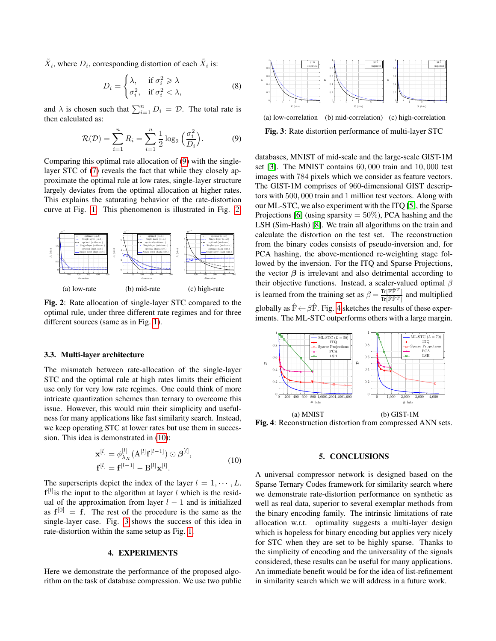$\tilde{X}_i$ , where  $D_i$ , corresponding distortion of each  $\tilde{X}_i$  is:

<span id="page-3-2"></span>
$$
D_i = \begin{cases} \lambda, & \text{if } \sigma_i^2 \ge \lambda \\ \sigma_i^2, & \text{if } \sigma_i^2 < \lambda, \end{cases} \tag{8}
$$

and  $\lambda$  is chosen such that  $\sum_{i=1}^{n} D_i = \mathcal{D}$ . The total rate is then calculated as:

<span id="page-3-3"></span>
$$
\mathcal{R}(\mathcal{D}) = \sum_{i=1}^{n} R_i = \sum_{i=1}^{n} \frac{1}{2} \log_2 \left(\frac{\sigma_i^2}{D_i}\right).
$$
 (9)

Comparing this optimal rate allocation of [\(9\)](#page-3-3) with the singlelayer STC of [\(7\)](#page-2-4) reveals the fact that while they closely approximate the optimal rule at low rates, single-layer structure largely deviates from the optimal allocation at higher rates. This explains the saturating behavior of the rate-distortion curve at Fig. [1.](#page-2-3) This phenomenon is illustrated in Fig. [2.](#page-3-4)

<span id="page-3-4"></span>

Fig. 2: Rate allocation of single-layer STC compared to the optimal rule, under three different rate regimes and for three different sources (same as in Fig. [1\)](#page-2-3).

## 3.3. Multi-layer architecture

The mismatch between rate-allocation of the single-layer STC and the optimal rule at high rates limits their efficient use only for very low rate regimes. One could think of more intricate quantization schemes than ternary to overcome this issue. However, this would ruin their simplicity and usefulness for many applications like fast similarity search. Instead, we keep operating STC at lower rates but use them in succession. This idea is demonstrated in [\(10\)](#page-3-5):

<span id="page-3-5"></span>
$$
\mathbf{x}^{[l]} = \phi_{\lambda_X}^{[l]} (A^{[l]} \mathbf{f}^{[l-1]}) \odot \beta^{[l]}, \mathbf{f}^{[l]} = \mathbf{f}^{[l-1]} - B^{[l]} \mathbf{x}^{[l]}.
$$
\n(10)

The superscripts depict the index of the layer  $l = 1, \dots, L$ .  $f^{[l]}$  is the input to the algorithm at layer l which is the residual of the approximation from layer  $l - 1$  and is initialized as  $f^{[0]} = f$ . The rest of the procedure is the same as the single-layer case. Fig. [3](#page-3-6) shows the success of this idea in rate-distortion within the same setup as Fig. [1.](#page-2-3)

### 4. EXPERIMENTS

<span id="page-3-0"></span>Here we demonstrate the performance of the proposed algorithm on the task of database compression. We use two public

<span id="page-3-6"></span>

(a) low-correlation (b) mid-correlation) (c) high-correlation Fig. 3: Rate distortion performance of multi-layer STC

databases, MNIST of mid-scale and the large-scale GIST-1M set [\[3\]](#page-4-2). The MNIST contains 60, 000 train and 10, 000 test images with 784 pixels which we consider as feature vectors. The GIST-1M comprises of 960-dimensional GIST descriptors with 500, 000 train and 1 million test vectors. Along with our ML-STC, we also experiment with the ITQ [\[5\]](#page-4-4), the Sparse Projections [\[6\]](#page-4-5) (using sparsity  $= 50\%$ ), PCA hashing and the LSH (Sim-Hash) [\[8\]](#page-4-7). We train all algorithms on the train and calculate the distortion on the test set. The reconstruction from the binary codes consists of pseudo-inversion and, for PCA hashing, the above-mentioned re-weighting stage followed by the inversion. For the ITQ and Sparse Projections, the vector  $\beta$  is irrelevant and also detrimental according to their objective functions. Instead, a scaler-valued optimal  $\beta$ is learned from the training set as  $\beta = \frac{\text{Tr}[\hat{F}\hat{F}^T]}{\text{Tr}[\hat{F}\hat{F}^T]}$  $\frac{\text{Tr}\left[\hat{\mathbf{F}}\hat{\mathbf{F}}\hat{\mathbf{F}}\right]}{\text{Tr}\left[\hat{\mathbf{F}}\hat{\mathbf{F}}\hat{\mathbf{F}}\right]}$  and multiplied globally as  $\hat{F} \leftarrow \beta \hat{F}$ . Fig. [4](#page-3-7) sketches the results of these experiments. The ML-STC outperforms others with a large margin.

<span id="page-3-7"></span>

Fig. 4: Reconstruction distortion from compressed ANN sets.

## 5. CONCLUSIONS

<span id="page-3-1"></span>A universal compressor network is designed based on the Sparse Ternary Codes framework for similarity search where we demonstrate rate-distortion performance on synthetic as well as real data, superior to several exemplar methods from the binary encoding family. The intrinsic limitations of rate allocation w.r.t. optimality suggests a multi-layer design which is hopeless for binary encoding but applies very nicely for STC when they are set to be highly sparse. Thanks to the simplicity of encoding and the universality of the signals considered, these results can be useful for many applications. An immediate benefit would be for the idea of list-refinement in similarity search which we will address in a future work.